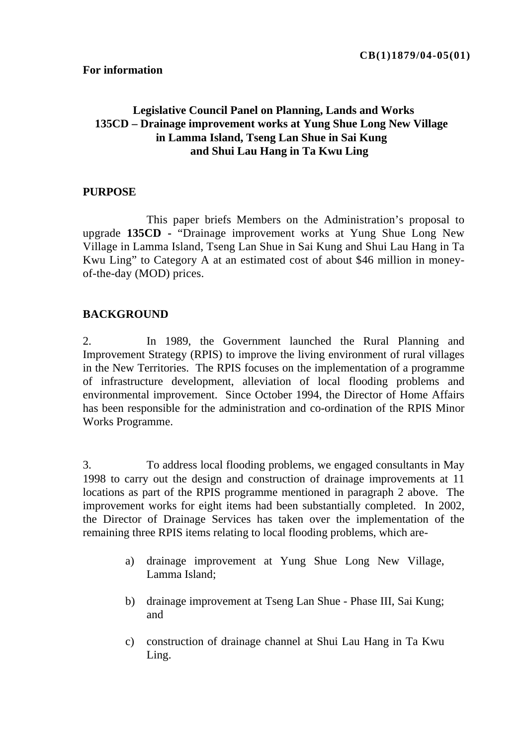# **Legislative Council Panel on Planning, Lands and Works 135CD – Drainage improvement works at Yung Shue Long New Village in Lamma Island, Tseng Lan Shue in Sai Kung and Shui Lau Hang in Ta Kwu Ling**

# **PURPOSE**

This paper briefs Members on the Administration's proposal to upgrade **135CD -** "Drainage improvement works at Yung Shue Long New Village in Lamma Island, Tseng Lan Shue in Sai Kung and Shui Lau Hang in Ta Kwu Ling" to Category A at an estimated cost of about \$46 million in moneyof-the-day (MOD) prices.

# **BACKGROUND**

2. In 1989, the Government launched the Rural Planning and Improvement Strategy (RPIS) to improve the living environment of rural villages in the New Territories. The RPIS focuses on the implementation of a programme of infrastructure development, alleviation of local flooding problems and environmental improvement. Since October 1994, the Director of Home Affairs has been responsible for the administration and co-ordination of the RPIS Minor Works Programme.

3. To address local flooding problems, we engaged consultants in May 1998 to carry out the design and construction of drainage improvements at 11 locations as part of the RPIS programme mentioned in paragraph 2 above. The improvement works for eight items had been substantially completed. In 2002, the Director of Drainage Services has taken over the implementation of the remaining three RPIS items relating to local flooding problems, which are-

- a) drainage improvement at Yung Shue Long New Village, Lamma Island;
- b) drainage improvement at Tseng Lan Shue Phase III, Sai Kung; and
- c) construction of drainage channel at Shui Lau Hang in Ta Kwu Ling.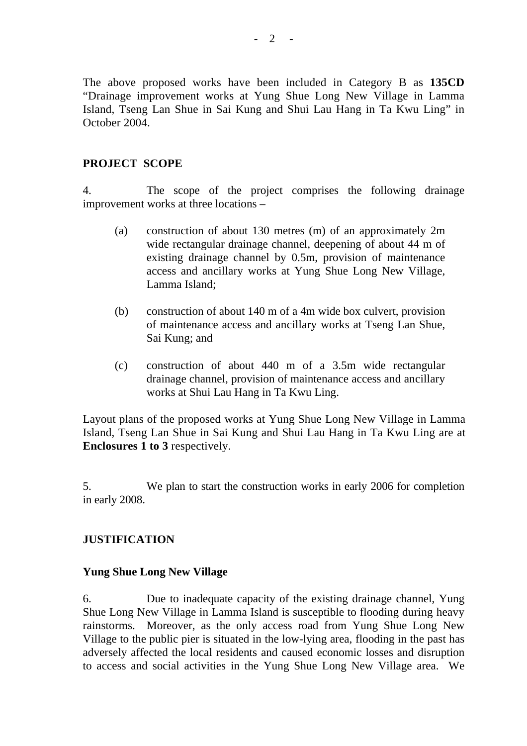The above proposed works have been included in Category B as **135CD** "Drainage improvement works at Yung Shue Long New Village in Lamma Island, Tseng Lan Shue in Sai Kung and Shui Lau Hang in Ta Kwu Ling" in October 2004.

# **PROJECT SCOPE**

4. The scope of the project comprises the following drainage improvement works at three locations –

- (a) construction of about 130 metres (m) of an approximately 2m wide rectangular drainage channel, deepening of about 44 m of existing drainage channel by 0.5m, provision of maintenance access and ancillary works at Yung Shue Long New Village, Lamma Island;
- (b) construction of about 140 m of a 4m wide box culvert, provision of maintenance access and ancillary works at Tseng Lan Shue, Sai Kung; and
- (c) construction of about 440 m of a 3.5m wide rectangular drainage channel, provision of maintenance access and ancillary works at Shui Lau Hang in Ta Kwu Ling.

Layout plans of the proposed works at Yung Shue Long New Village in Lamma Island, Tseng Lan Shue in Sai Kung and Shui Lau Hang in Ta Kwu Ling are at **Enclosures 1 to 3** respectively.

5. We plan to start the construction works in early 2006 for completion in early 2008.

# **JUSTIFICATION**

# **Yung Shue Long New Village**

6. Due to inadequate capacity of the existing drainage channel, Yung Shue Long New Village in Lamma Island is susceptible to flooding during heavy rainstorms. Moreover, as the only access road from Yung Shue Long New Village to the public pier is situated in the low-lying area, flooding in the past has adversely affected the local residents and caused economic losses and disruption to access and social activities in the Yung Shue Long New Village area. We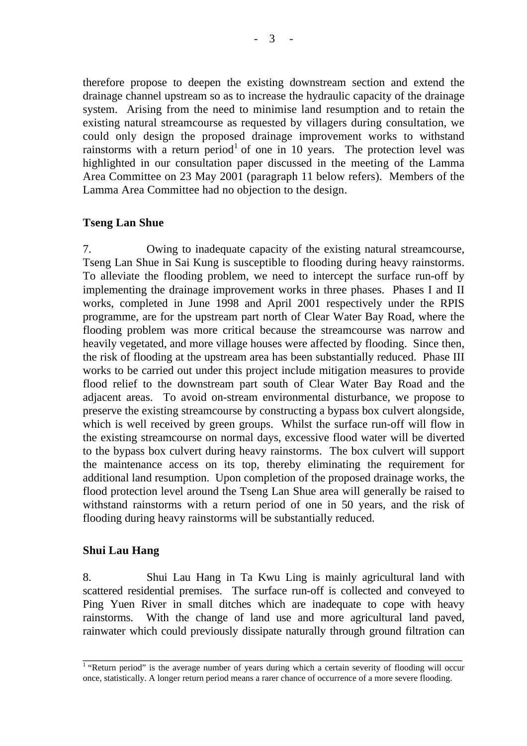therefore propose to deepen the existing downstream section and extend the drainage channel upstream so as to increase the hydraulic capacity of the drainage system. Arising from the need to minimise land resumption and to retain the existing natural streamcourse as requested by villagers during consultation, we could only design the proposed drainage improvement works to withstand rainstorms with a return period<sup>1</sup> of one in 10 years. The protection level was highlighted in our consultation paper discussed in the meeting of the Lamma Area Committee on 23 May 2001 (paragraph 11 below refers). Members of the Lamma Area Committee had no objection to the design.

#### **Tseng Lan Shue**

7. Owing to inadequate capacity of the existing natural streamcourse, Tseng Lan Shue in Sai Kung is susceptible to flooding during heavy rainstorms. To alleviate the flooding problem, we need to intercept the surface run-off by implementing the drainage improvement works in three phases. Phases I and II works, completed in June 1998 and April 2001 respectively under the RPIS programme, are for the upstream part north of Clear Water Bay Road, where the flooding problem was more critical because the streamcourse was narrow and heavily vegetated, and more village houses were affected by flooding. Since then, the risk of flooding at the upstream area has been substantially reduced. Phase III works to be carried out under this project include mitigation measures to provide flood relief to the downstream part south of Clear Water Bay Road and the adjacent areas. To avoid on-stream environmental disturbance, we propose to preserve the existing streamcourse by constructing a bypass box culvert alongside, which is well received by green groups. Whilst the surface run-off will flow in the existing streamcourse on normal days, excessive flood water will be diverted to the bypass box culvert during heavy rainstorms. The box culvert will support the maintenance access on its top, thereby eliminating the requirement for additional land resumption. Upon completion of the proposed drainage works, the flood protection level around the Tseng Lan Shue area will generally be raised to withstand rainstorms with a return period of one in 50 years, and the risk of flooding during heavy rainstorms will be substantially reduced.

#### **Shui Lau Hang**

8. Shui Lau Hang in Ta Kwu Ling is mainly agricultural land with scattered residential premises. The surface run-off is collected and conveyed to Ping Yuen River in small ditches which are inadequate to cope with heavy rainstorms. With the change of land use and more agricultural land paved, rainwater which could previously dissipate naturally through ground filtration can

 $\_$  ,  $\_$  ,  $\_$  ,  $\_$  ,  $\_$  ,  $\_$  ,  $\_$  ,  $\_$  ,  $\_$  ,  $\_$  ,  $\_$  ,  $\_$  ,  $\_$  ,  $\_$  ,  $\_$  ,  $\_$  ,  $\_$  ,  $\_$  ,  $\_$  ,  $\_$  ,  $\_$  ,  $\_$  ,  $\_$  ,  $\_$  ,  $\_$  ,  $\_$  ,  $\_$  ,  $\_$  ,  $\_$  ,  $\_$  ,  $\_$  ,  $\_$  ,  $\_$  ,  $\_$  ,  $\_$  ,  $\_$  ,  $\_$  , <sup>1</sup> "Return period" is the average number of years during which a certain severity of flooding will occur once, statistically. A longer return period means a rarer chance of occurrence of a more severe flooding.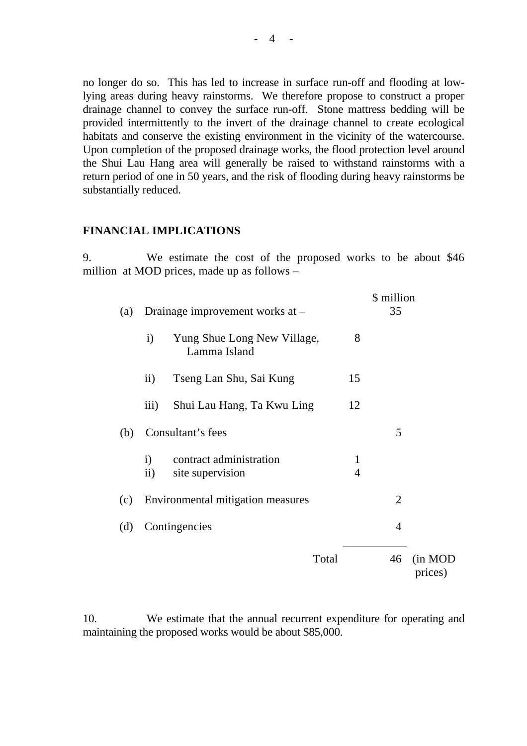no longer do so. This has led to increase in surface run-off and flooding at lowlying areas during heavy rainstorms. We therefore propose to construct a proper drainage channel to convey the surface run-off. Stone mattress bedding will be provided intermittently to the invert of the drainage channel to create ecological habitats and conserve the existing environment in the vicinity of the watercourse. Upon completion of the proposed drainage works, the flood protection level around the Shui Lau Hang area will generally be raised to withstand rainstorms with a return period of one in 50 years, and the risk of flooding during heavy rainstorms be substantially reduced.

### **FINANCIAL IMPLICATIONS**

9. We estimate the cost of the proposed works to be about \$46 million at MOD prices, made up as follows –

| (a) | Drainage improvement works at – |                                             | \$ million<br>35    |                |                    |
|-----|---------------------------------|---------------------------------------------|---------------------|----------------|--------------------|
|     | $\mathbf{i}$                    | Yung Shue Long New Village,<br>Lamma Island | 8                   |                |                    |
|     | $\rm ii)$                       | Tseng Lan Shu, Sai Kung                     | 15                  |                |                    |
|     | $\overline{iii}$                | Shui Lau Hang, Ta Kwu Ling                  | 12                  |                |                    |
| (b) |                                 | Consultant's fees                           |                     | 5              |                    |
|     | $\mathbf{i}$<br>$\mathbf{ii}$   | contract administration<br>site supervision | 1<br>$\overline{4}$ |                |                    |
| (c) |                                 | Environmental mitigation measures           |                     | $\overline{2}$ |                    |
| (d) |                                 | Contingencies                               |                     | $\overline{4}$ |                    |
|     |                                 | Total                                       |                     | 46             | (in MOD<br>prices) |

10. We estimate that the annual recurrent expenditure for operating and maintaining the proposed works would be about \$85,000.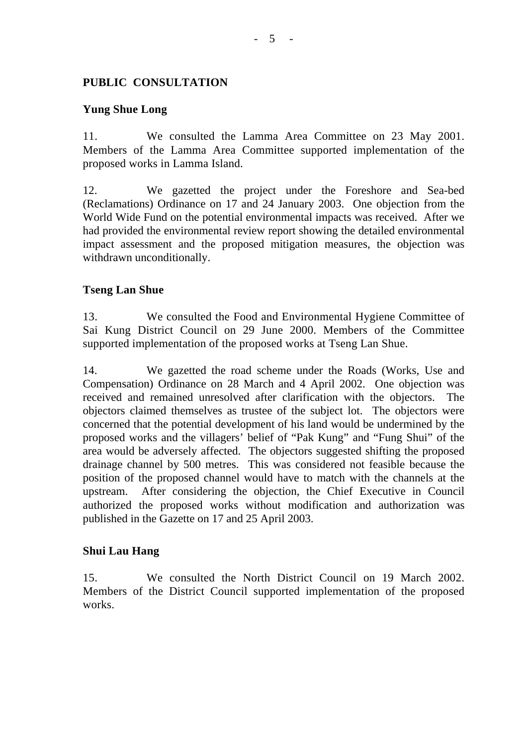# **PUBLIC CONSULTATION**

## **Yung Shue Long**

11. We consulted the Lamma Area Committee on 23 May 2001. Members of the Lamma Area Committee supported implementation of the proposed works in Lamma Island.

12. We gazetted the project under the Foreshore and Sea-bed (Reclamations) Ordinance on 17 and 24 January 2003. One objection from the World Wide Fund on the potential environmental impacts was received. After we had provided the environmental review report showing the detailed environmental impact assessment and the proposed mitigation measures, the objection was withdrawn unconditionally.

# **Tseng Lan Shue**

13. We consulted the Food and Environmental Hygiene Committee of Sai Kung District Council on 29 June 2000. Members of the Committee supported implementation of the proposed works at Tseng Lan Shue.

14. We gazetted the road scheme under the Roads (Works, Use and Compensation) Ordinance on 28 March and 4 April 2002. One objection was received and remained unresolved after clarification with the objectors. The objectors claimed themselves as trustee of the subject lot. The objectors were concerned that the potential development of his land would be undermined by the proposed works and the villagers' belief of "Pak Kung" and "Fung Shui" of the area would be adversely affected. The objectors suggested shifting the proposed drainage channel by 500 metres. This was considered not feasible because the position of the proposed channel would have to match with the channels at the upstream. After considering the objection, the Chief Executive in Council authorized the proposed works without modification and authorization was published in the Gazette on 17 and 25 April 2003.

### **Shui Lau Hang**

15. We consulted the North District Council on 19 March 2002. Members of the District Council supported implementation of the proposed works.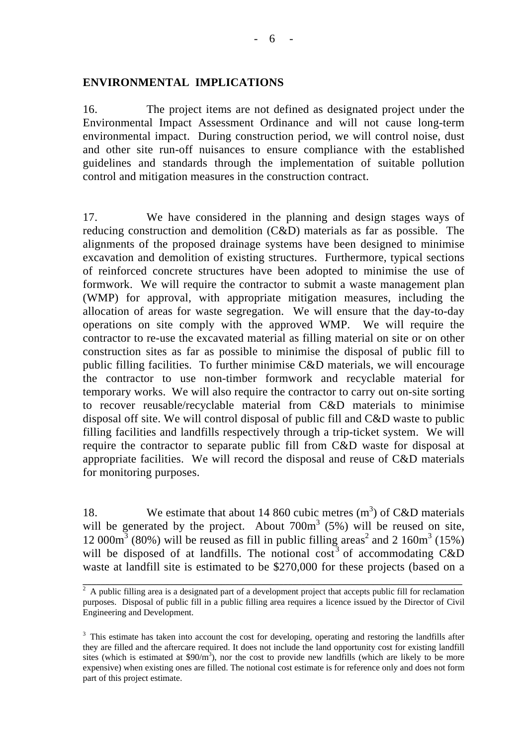### **ENVIRONMENTAL IMPLICATIONS**

16. The project items are not defined as designated project under the Environmental Impact Assessment Ordinance and will not cause long-term environmental impact. During construction period, we will control noise, dust and other site run-off nuisances to ensure compliance with the established guidelines and standards through the implementation of suitable pollution control and mitigation measures in the construction contract.

17. We have considered in the planning and design stages ways of reducing construction and demolition (C&D) materials as far as possible. The alignments of the proposed drainage systems have been designed to minimise excavation and demolition of existing structures. Furthermore, typical sections of reinforced concrete structures have been adopted to minimise the use of formwork. We will require the contractor to submit a waste management plan (WMP) for approval, with appropriate mitigation measures, including the allocation of areas for waste segregation. We will ensure that the day-to-day operations on site comply with the approved WMP. We will require the contractor to re-use the excavated material as filling material on site or on other construction sites as far as possible to minimise the disposal of public fill to public filling facilities. To further minimise C&D materials, we will encourage the contractor to use non-timber formwork and recyclable material for temporary works. We will also require the contractor to carry out on-site sorting to recover reusable/recyclable material from C&D materials to minimise disposal off site. We will control disposal of public fill and C&D waste to public filling facilities and landfills respectively through a trip-ticket system. We will require the contractor to separate public fill from C&D waste for disposal at appropriate facilities. We will record the disposal and reuse of C&D materials for monitoring purposes.

18. We estimate that about 14 860 cubic metres  $(m<sup>3</sup>)$  of C&D materials will be generated by the project. About  $700m^3$  (5%) will be reused on site,  $12,000\text{m}^3$  (80%) will be reused as fill in public filling areas<sup>2</sup> and 2 160m<sup>3</sup> (15%) will be disposed of at landfills. The notional cost<sup>3</sup> of accommodating  $C&D$ waste at landfill site is estimated to be \$270,000 for these projects (based on a

 $\_$  ,  $\_$  ,  $\_$  ,  $\_$  ,  $\_$  ,  $\_$  ,  $\_$  ,  $\_$  ,  $\_$  ,  $\_$  ,  $\_$  ,  $\_$  ,  $\_$  ,  $\_$  ,  $\_$  ,  $\_$  ,  $\_$  ,  $\_$  ,  $\_$  ,  $\_$  ,  $\_$  ,  $\_$  ,  $\_$  ,  $\_$  ,  $\_$  ,  $\_$  ,  $\_$  ,  $\_$  ,  $\_$  ,  $\_$  ,  $\_$  ,  $\_$  ,  $\_$  ,  $\_$  ,  $\_$  ,  $\_$  ,  $\_$  ,

<sup>&</sup>lt;sup>2</sup> A public filling area is a designated part of a development project that accepts public fill for reclamation purposes. Disposal of public fill in a public filling area requires a licence issued by the Director of Civil Engineering and Development.

<sup>&</sup>lt;sup>3</sup> This estimate has taken into account the cost for developing, operating and restoring the landfills after they are filled and the aftercare required. It does not include the land opportunity cost for existing landfill sites (which is estimated at  $$90/m^3$ ), nor the cost to provide new landfills (which are likely to be more expensive) when existing ones are filled. The notional cost estimate is for reference only and does not form part of this project estimate.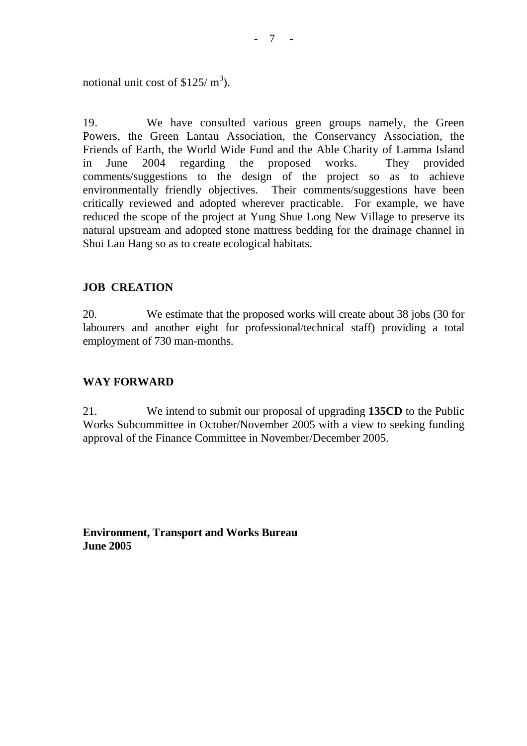notional unit cost of  $$125/m<sup>3</sup>$ ).

19. We have consulted various green groups namely, the Green Powers, the Green Lantau Association, the Conservancy Association, the Friends of Earth, the World Wide Fund and the Able Charity of Lamma Island in June 2004 regarding the proposed works. They provided comments/suggestions to the design of the project so as to achieve environmentally friendly objectives. Their comments/suggestions have been critically reviewed and adopted wherever practicable. For example, we have reduced the scope of the project at Yung Shue Long New Village to preserve its natural upstream and adopted stone mattress bedding for the drainage channel in Shui Lau Hang so as to create ecological habitats.

### **JOB CREATION**

20. We estimate that the proposed works will create about 38 jobs (30 for labourers and another eight for professional/technical staff) providing a total employment of 730 man-months.

# **WAY FORWARD**

21. We intend to submit our proposal of upgrading **135CD** to the Public Works Subcommittee in October/November 2005 with a view to seeking funding approval of the Finance Committee in November/December 2005.

**Environment, Transport and Works Bureau June 2005**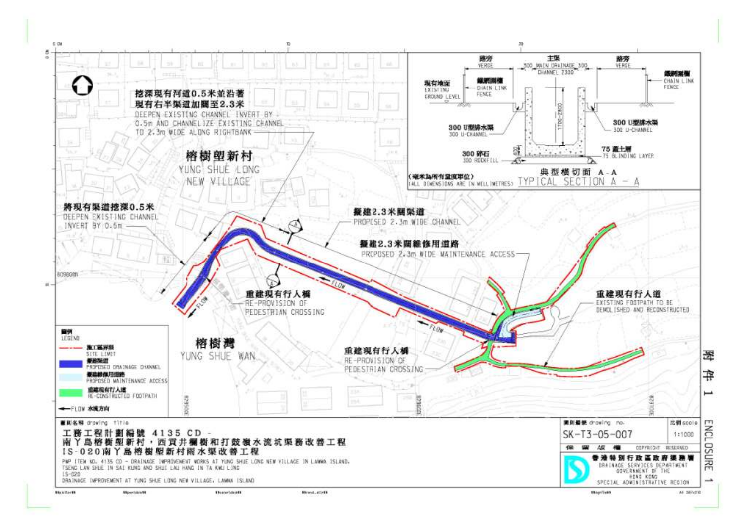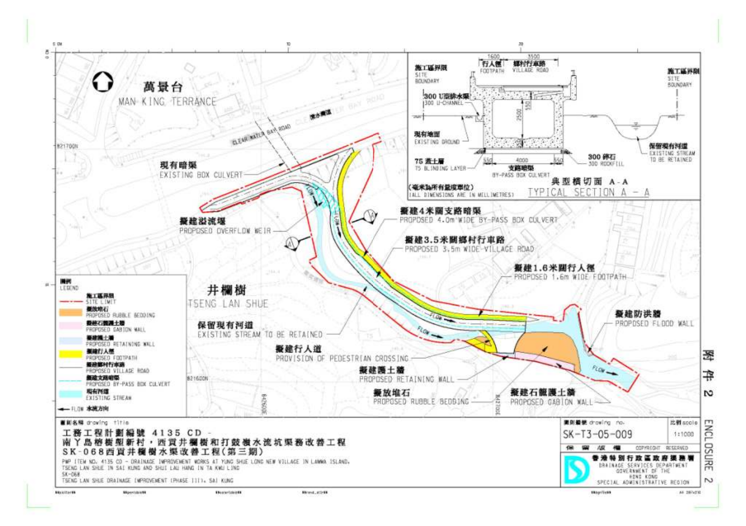